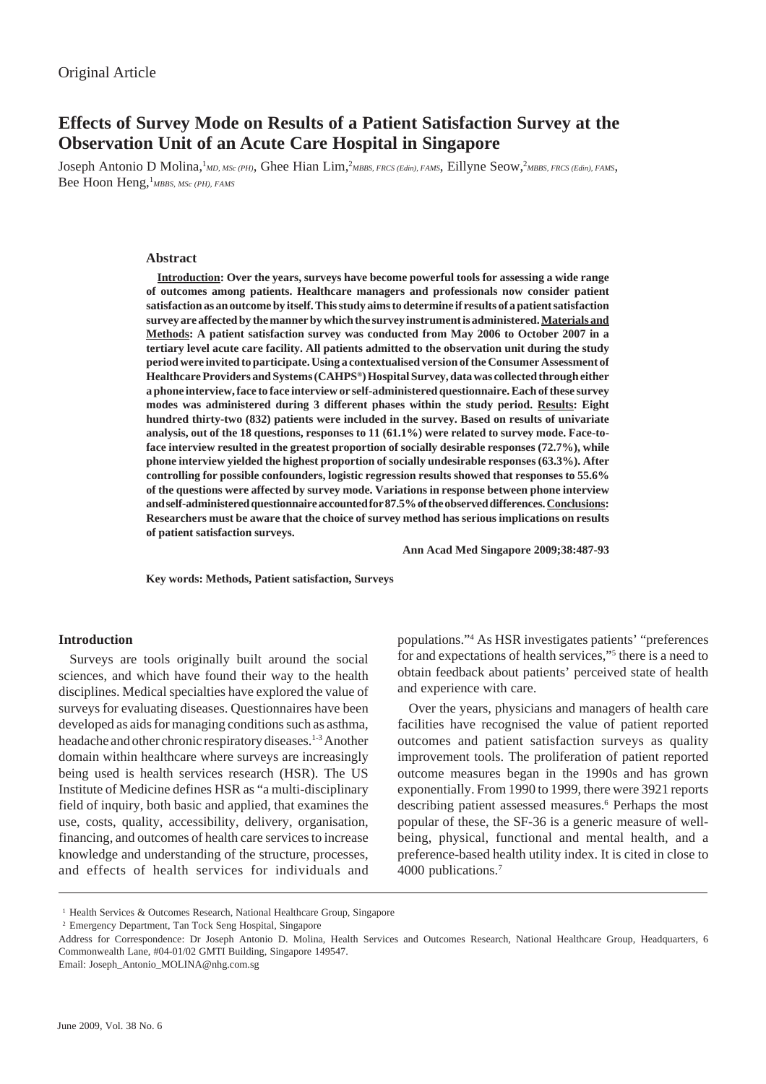# **Effects of Survey Mode on Results of a Patient Satisfaction Survey at the Observation Unit of an Acute Care Hospital in Singapore**

Joseph Antonio D Molina, <sup>1</sup>*MD, MSc (PH)*, Ghee Hian Lim, <sup>2</sup>*MBBS, FRCS (Edin), FAMS*, Eillyne Seow, <sup>2</sup>*MBBS, FRCS (Edin), FAMS*, Bee Hoon Heng,<sup>1</sup>MBBS, MSc (PH), FAMS

## **Abstract**

**Introduction: Over the years, surveys have become powerful tools for assessing a wide range of outcomes among patients. Healthcare managers and professionals now consider patient satisfaction as an outcome by itself. This study aims to determine if results of a patient satisfaction survey are affected by the manner by which the survey instrument is administered. Materials and Methods: A patient satisfaction survey was conducted from May 2006 to October 2007 in a tertiary level acute care facility. All patients admitted to the observation unit during the study period were invited to participate. Using a contextualised version of the Consumer Assessment of Healthcare Providers and Systems (CAHPS®) Hospital Survey, data was collected through either a phone interview, face to face interview or self-administered questionnaire. Each of these survey modes was administered during 3 different phases within the study period. Results: Eight hundred thirty-two (832) patients were included in the survey. Based on results of univariate analysis, out of the 18 questions, responses to 11 (61.1%) were related to survey mode. Face-toface interview resulted in the greatest proportion of socially desirable responses (72.7%), while phone interview yielded the highest proportion of socially undesirable responses (63.3%). After controlling for possible confounders, logistic regression results showed that responses to 55.6% of the questions were affected by survey mode. Variations in response between phone interview and self-administered questionnaire accounted for 87.5% of the observed differences. Conclusions: Researchers must be aware that the choice of survey method has serious implications on results of patient satisfaction surveys.**

**Ann Acad Med Singapore 2009;38:487-93**

**Key words: Methods, Patient satisfaction, Surveys**

# **Introduction**

Surveys are tools originally built around the social sciences, and which have found their way to the health disciplines. Medical specialties have explored the value of surveys for evaluating diseases. Questionnaires have been developed as aids for managing conditions such as asthma, headache and other chronic respiratory diseases.<sup>1-3</sup> Another domain within healthcare where surveys are increasingly being used is health services research (HSR). The US Institute of Medicine defines HSR as "a multi-disciplinary field of inquiry, both basic and applied, that examines the use, costs, quality, accessibility, delivery, organisation, financing, and outcomes of health care services to increase knowledge and understanding of the structure, processes, and effects of health services for individuals and

populations."4 As HSR investigates patients' "preferences for and expectations of health services,"<sup>5</sup> there is a need to obtain feedback about patients' perceived state of health and experience with care.

Over the years, physicians and managers of health care facilities have recognised the value of patient reported outcomes and patient satisfaction surveys as quality improvement tools. The proliferation of patient reported outcome measures began in the 1990s and has grown exponentially. From 1990 to 1999, there were 3921 reports describing patient assessed measures.<sup>6</sup> Perhaps the most popular of these, the SF-36 is a generic measure of wellbeing, physical, functional and mental health, and a preference-based health utility index. It is cited in close to 4000 publications.7

<sup>&</sup>lt;sup>1</sup> Health Services & Outcomes Research, National Healthcare Group, Singapore

<sup>2</sup> Emergency Department, Tan Tock Seng Hospital, Singapore

Address for Correspondence: Dr Joseph Antonio D. Molina, Health Services and Outcomes Research, National Healthcare Group, Headquarters, 6 Commonwealth Lane, #04-01/02 GMTI Building, Singapore 149547.

Email: Joseph\_Antonio\_MOLINA@nhg.com.sg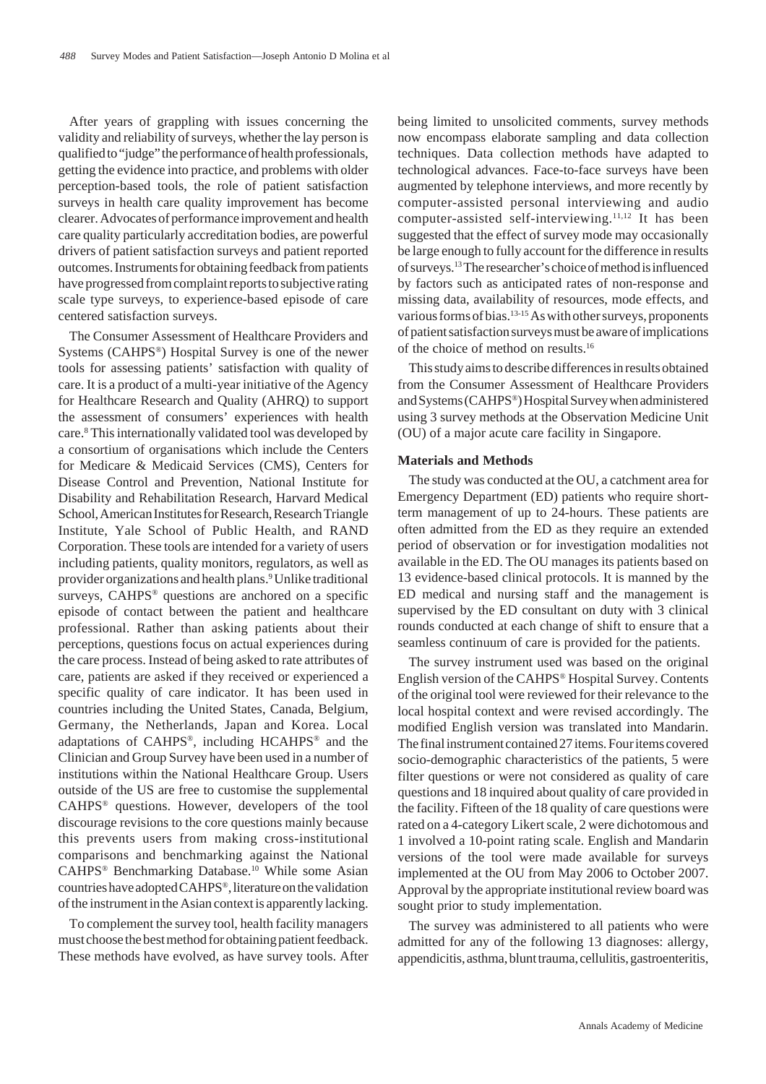After years of grappling with issues concerning the validity and reliability of surveys, whether the lay person is qualified to "judge" the performance of health professionals, getting the evidence into practice, and problems with older perception-based tools, the role of patient satisfaction surveys in health care quality improvement has become clearer. Advocates of performance improvement and health care quality particularly accreditation bodies, are powerful drivers of patient satisfaction surveys and patient reported outcomes. Instruments for obtaining feedback from patients have progressed from complaint reports to subjective rating scale type surveys, to experience-based episode of care centered satisfaction surveys.

The Consumer Assessment of Healthcare Providers and Systems (CAHPS®) Hospital Survey is one of the newer tools for assessing patients' satisfaction with quality of care. It is a product of a multi-year initiative of the Agency for Healthcare Research and Quality (AHRQ) to support the assessment of consumers' experiences with health care.8 This internationally validated tool was developed by a consortium of organisations which include the Centers for Medicare & Medicaid Services (CMS), Centers for Disease Control and Prevention, National Institute for Disability and Rehabilitation Research, Harvard Medical School, American Institutes for Research, Research Triangle Institute, Yale School of Public Health, and RAND Corporation. These tools are intended for a variety of users including patients, quality monitors, regulators, as well as provider organizations and health plans.<sup>9</sup> Unlike traditional surveys, CAHPS® questions are anchored on a specific episode of contact between the patient and healthcare professional. Rather than asking patients about their perceptions, questions focus on actual experiences during the care process. Instead of being asked to rate attributes of care, patients are asked if they received or experienced a specific quality of care indicator. It has been used in countries including the United States, Canada, Belgium, Germany, the Netherlands, Japan and Korea. Local adaptations of CAHPS®, including HCAHPS® and the Clinician and Group Survey have been used in a number of institutions within the National Healthcare Group. Users outside of the US are free to customise the supplemental CAHPS® questions. However, developers of the tool discourage revisions to the core questions mainly because this prevents users from making cross-institutional comparisons and benchmarking against the National CAHPS® Benchmarking Database.10 While some Asian countries have adopted CAHPS®, literature on the validation of the instrument in the Asian context is apparently lacking.

To complement the survey tool, health facility managers must choose the best method for obtaining patient feedback. These methods have evolved, as have survey tools. After being limited to unsolicited comments, survey methods now encompass elaborate sampling and data collection techniques. Data collection methods have adapted to technological advances. Face-to-face surveys have been augmented by telephone interviews, and more recently by computer-assisted personal interviewing and audio computer-assisted self-interviewing.11,12 It has been suggested that the effect of survey mode may occasionally be large enough to fully account for the difference in results of surveys.13 The researcher's choice of method is influenced by factors such as anticipated rates of non-response and missing data, availability of resources, mode effects, and various forms of bias.<sup>13-15</sup> As with other surveys, proponents of patient satisfaction surveys must be aware of implications of the choice of method on results.16

This study aims to describe differences in results obtained from the Consumer Assessment of Healthcare Providers and Systems (CAHPS®) Hospital Survey when administered using 3 survey methods at the Observation Medicine Unit (OU) of a major acute care facility in Singapore.

## **Materials and Methods**

The study was conducted at the OU, a catchment area for Emergency Department (ED) patients who require shortterm management of up to 24-hours. These patients are often admitted from the ED as they require an extended period of observation or for investigation modalities not available in the ED. The OU manages its patients based on 13 evidence-based clinical protocols. It is manned by the ED medical and nursing staff and the management is supervised by the ED consultant on duty with 3 clinical rounds conducted at each change of shift to ensure that a seamless continuum of care is provided for the patients.

The survey instrument used was based on the original English version of the CAHPS® Hospital Survey. Contents of the original tool were reviewed for their relevance to the local hospital context and were revised accordingly. The modified English version was translated into Mandarin. The final instrument contained 27 items. Four items covered socio-demographic characteristics of the patients, 5 were filter questions or were not considered as quality of care questions and 18 inquired about quality of care provided in the facility. Fifteen of the 18 quality of care questions were rated on a 4-category Likert scale, 2 were dichotomous and 1 involved a 10-point rating scale. English and Mandarin versions of the tool were made available for surveys implemented at the OU from May 2006 to October 2007. Approval by the appropriate institutional review board was sought prior to study implementation.

The survey was administered to all patients who were admitted for any of the following 13 diagnoses: allergy, appendicitis, asthma, blunt trauma, cellulitis, gastroenteritis,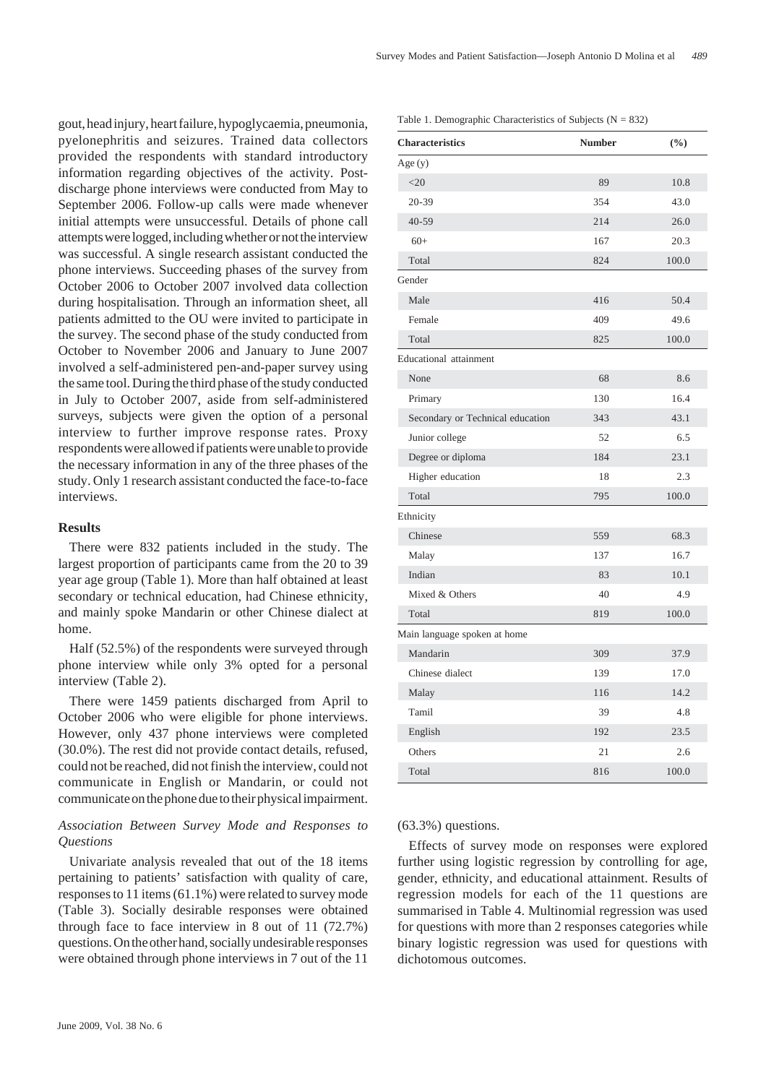Table 1. Demographic Characteristics of Subjects ( $N = 832$ )

gout, head injury, heart failure, hypoglycaemia, pneumonia, pyelonephritis and seizures. Trained data collectors provided the respondents with standard introductory information regarding objectives of the activity. Postdischarge phone interviews were conducted from May to September 2006. Follow-up calls were made whenever initial attempts were unsuccessful. Details of phone call attempts were logged, including whether or not the interview was successful. A single research assistant conducted the phone interviews. Succeeding phases of the survey from October 2006 to October 2007 involved data collection during hospitalisation. Through an information sheet, all patients admitted to the OU were invited to participate in the survey. The second phase of the study conducted from October to November 2006 and January to June 2007 involved a self-administered pen-and-paper survey using the same tool. During the third phase of the study conducted in July to October 2007, aside from self-administered surveys, subjects were given the option of a personal interview to further improve response rates. Proxy respondents were allowed if patients were unable to provide the necessary information in any of the three phases of the study. Only 1 research assistant conducted the face-to-face interviews.

# **Results**

There were 832 patients included in the study. The largest proportion of participants came from the 20 to 39 year age group (Table 1). More than half obtained at least secondary or technical education, had Chinese ethnicity, and mainly spoke Mandarin or other Chinese dialect at home.

Half (52.5%) of the respondents were surveyed through phone interview while only 3% opted for a personal interview (Table 2).

There were 1459 patients discharged from April to October 2006 who were eligible for phone interviews. However, only 437 phone interviews were completed (30.0%). The rest did not provide contact details, refused, could not be reached, did not finish the interview, could not communicate in English or Mandarin, or could not communicate on the phone due to their physical impairment.

# *Association Between Survey Mode and Responses to Questions*

Univariate analysis revealed that out of the 18 items pertaining to patients' satisfaction with quality of care, responses to 11 items (61.1%) were related to survey mode (Table 3). Socially desirable responses were obtained through face to face interview in 8 out of 11 (72.7%) questions. On the other hand, socially undesirable responses were obtained through phone interviews in 7 out of the 11

| <b>Characteristics</b>           | <b>Number</b> | $(\%)$ |
|----------------------------------|---------------|--------|
| Age (y)                          |               |        |
| $<$ 20                           | 89            | 10.8   |
| 20-39                            | 354           | 43.0   |
| 40-59                            | 214           | 26.0   |
| $60+$                            | 167           | 20.3   |
| Total                            | 824           | 100.0  |
| Gender                           |               |        |
| Male                             | 416           | 50.4   |
| Female                           | 409           | 49.6   |
| Total                            | 825           | 100.0  |
| Educational attainment           |               |        |
| None                             | 68            | 8.6    |
| Primary                          | 130           | 16.4   |
| Secondary or Technical education | 343           | 43.1   |
| Junior college                   | 52            | 6.5    |
| Degree or diploma                | 184           | 23.1   |
| Higher education                 | 18            | 2.3    |
| Total                            | 795           | 100.0  |
| Ethnicity                        |               |        |
| Chinese                          | 559           | 68.3   |
| Malay                            | 137           | 16.7   |
| Indian                           | 83            | 10.1   |
| Mixed & Others                   | 40            | 4.9    |
| Total                            | 819           | 100.0  |
| Main language spoken at home     |               |        |
| Mandarin                         | 309           | 37.9   |
| Chinese dialect                  | 139           | 17.0   |
| Malay                            | 116           | 14.2   |
| Tamil                            | 39            | 4.8    |
| English                          | 192           | 23.5   |
| Others                           | 21            | 2.6    |
| Total                            | 816           | 100.0  |

## (63.3%) questions.

Effects of survey mode on responses were explored further using logistic regression by controlling for age, gender, ethnicity, and educational attainment. Results of regression models for each of the 11 questions are summarised in Table 4. Multinomial regression was used for questions with more than 2 responses categories while binary logistic regression was used for questions with dichotomous outcomes.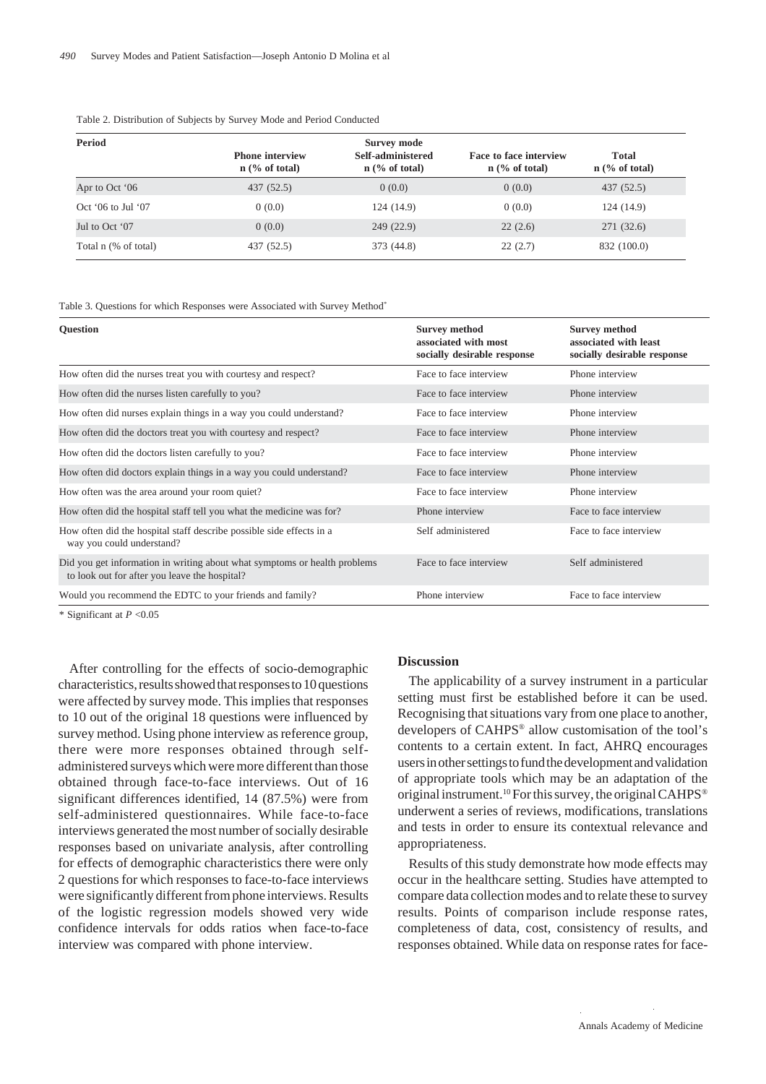| <b>Period</b>        |                                            | <b>Survey mode</b>                    |                                                   |                                  |
|----------------------|--------------------------------------------|---------------------------------------|---------------------------------------------------|----------------------------------|
|                      | <b>Phone interview</b><br>$n$ (% of total) | Self-administered<br>$n$ (% of total) | <b>Face to face interview</b><br>$n$ (% of total) | <b>Total</b><br>$n$ (% of total) |
| Apr to Oct '06       | 437(52.5)                                  | 0(0.0)                                | 0(0.0)                                            | 437 (52.5)                       |
| $Oct$ '06 to Jul '07 | 0(0.0)                                     | 124 (14.9)                            | 0(0.0)                                            | 124 (14.9)                       |
| Jul to Oct '07       | 0(0.0)                                     | 249 (22.9)                            | 22(2.6)                                           | 271 (32.6)                       |
| Total n (% of total) | 437 (52.5)                                 | 373 (44.8)                            | 22(2.7)                                           | 832 (100.0)                      |

#### Table 2. Distribution of Subjects by Survey Mode and Period Conducted

#### Table 3. Questions for which Responses were Associated with Survey Method\*

| <b>Question</b>                                                                                                            | <b>Survey method</b><br>associated with most<br>socially desirable response | <b>Survey method</b><br>associated with least<br>socially desirable response |
|----------------------------------------------------------------------------------------------------------------------------|-----------------------------------------------------------------------------|------------------------------------------------------------------------------|
| How often did the nurses treat you with courtesy and respect?                                                              | Face to face interview                                                      | Phone interview                                                              |
| How often did the nurses listen carefully to you?                                                                          | Face to face interview                                                      | Phone interview                                                              |
| How often did nurses explain things in a way you could understand?                                                         | Face to face interview                                                      | Phone interview                                                              |
| How often did the doctors treat you with courtesy and respect?                                                             | Face to face interview                                                      | Phone interview                                                              |
| How often did the doctors listen carefully to you?                                                                         | Face to face interview                                                      | Phone interview                                                              |
| How often did doctors explain things in a way you could understand?                                                        | Face to face interview                                                      | Phone interview                                                              |
| How often was the area around your room quiet?                                                                             | Face to face interview                                                      | Phone interview                                                              |
| How often did the hospital staff tell you what the medicine was for?                                                       | Phone interview                                                             | Face to face interview                                                       |
| How often did the hospital staff describe possible side effects in a<br>way you could understand?                          | Self administered                                                           | Face to face interview                                                       |
| Did you get information in writing about what symptoms or health problems<br>to look out for after you leave the hospital? | Face to face interview                                                      | Self administered                                                            |
| Would you recommend the EDTC to your friends and family?                                                                   | Phone interview                                                             | Face to face interview                                                       |

\* Significant at *P* <0.05

After controlling for the effects of socio-demographic characteristics, results showed that responses to 10 questions were affected by survey mode. This implies that responses to 10 out of the original 18 questions were influenced by survey method. Using phone interview as reference group, there were more responses obtained through selfadministered surveys which were more different than those obtained through face-to-face interviews. Out of 16 significant differences identified, 14 (87.5%) were from self-administered questionnaires. While face-to-face interviews generated the most number of socially desirable responses based on univariate analysis, after controlling for effects of demographic characteristics there were only 2 questions for which responses to face-to-face interviews were significantly different from phone interviews. Results of the logistic regression models showed very wide confidence intervals for odds ratios when face-to-face interview was compared with phone interview.

## **Discussion**

The applicability of a survey instrument in a particular setting must first be established before it can be used. Recognising that situations vary from one place to another, developers of CAHPS® allow customisation of the tool's contents to a certain extent. In fact, AHRQ encourages users in other settings to fund the development and validation of appropriate tools which may be an adaptation of the original instrument.10 For this survey, the original CAHPS® underwent a series of reviews, modifications, translations and tests in order to ensure its contextual relevance and appropriateness.

Results of this study demonstrate how mode effects may occur in the healthcare setting. Studies have attempted to compare data collection modes and to relate these to survey results. Points of comparison include response rates, completeness of data, cost, consistency of results, and responses obtained. While data on response rates for face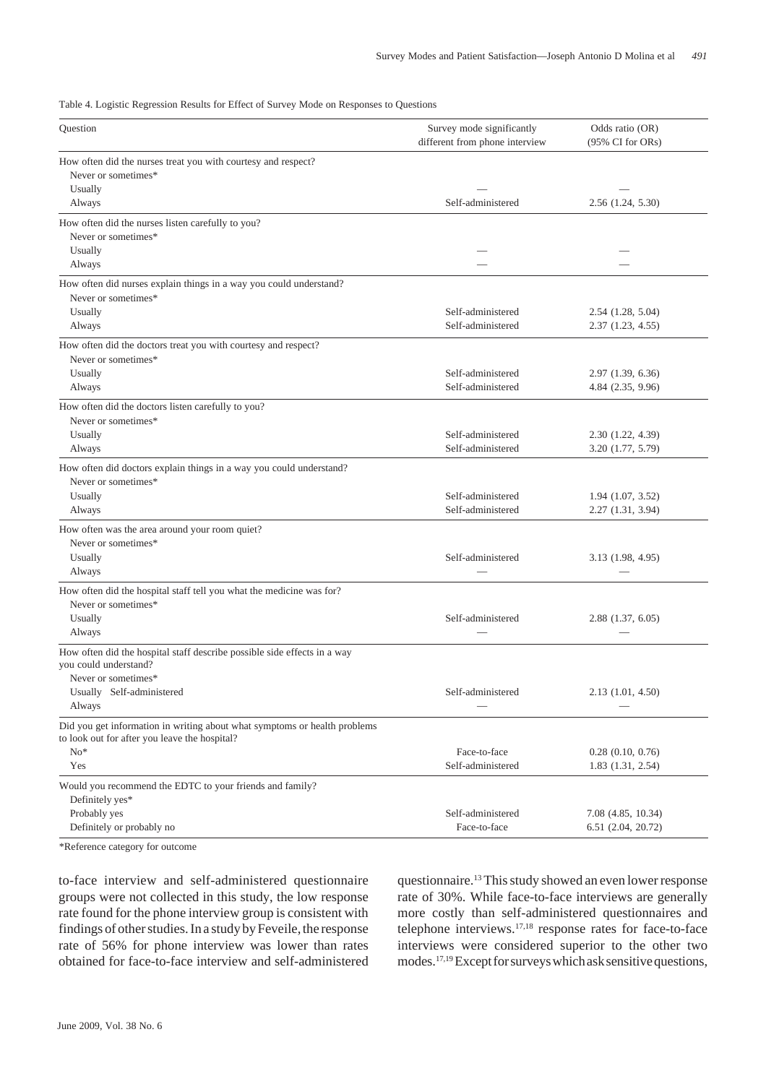Table 4. Logistic Regression Results for Effect of Survey Mode on Responses to Questions

| Question                                                                              | Survey mode significantly<br>different from phone interview | Odds ratio (OR)<br>(95% CI for ORs) |
|---------------------------------------------------------------------------------------|-------------------------------------------------------------|-------------------------------------|
| How often did the nurses treat you with courtesy and respect?                         |                                                             |                                     |
| Never or sometimes*                                                                   |                                                             |                                     |
| Usually                                                                               |                                                             |                                     |
| Always                                                                                | Self-administered                                           | 2.56(1.24, 5.30)                    |
| How often did the nurses listen carefully to you?                                     |                                                             |                                     |
| Never or sometimes*                                                                   |                                                             |                                     |
| Usually                                                                               |                                                             |                                     |
| Always                                                                                |                                                             |                                     |
| How often did nurses explain things in a way you could understand?                    |                                                             |                                     |
| Never or sometimes*                                                                   |                                                             |                                     |
| Usually                                                                               | Self-administered                                           | 2.54(1.28, 5.04)                    |
| Always                                                                                | Self-administered                                           | 2.37(1.23, 4.55)                    |
|                                                                                       |                                                             |                                     |
| How often did the doctors treat you with courtesy and respect?<br>Never or sometimes* |                                                             |                                     |
| Usually                                                                               | Self-administered                                           | 2.97(1.39, 6.36)                    |
| Always                                                                                | Self-administered                                           | 4.84(2.35, 9.96)                    |
|                                                                                       |                                                             |                                     |
| How often did the doctors listen carefully to you?                                    |                                                             |                                     |
| Never or sometimes*                                                                   |                                                             |                                     |
| Usually                                                                               | Self-administered                                           | 2.30 (1.22, 4.39)                   |
| Always                                                                                | Self-administered                                           | 3.20 (1.77, 5.79)                   |
| How often did doctors explain things in a way you could understand?                   |                                                             |                                     |
| Never or sometimes*                                                                   |                                                             |                                     |
| Usually                                                                               | Self-administered                                           | 1.94(1.07, 3.52)                    |
| Always                                                                                | Self-administered                                           | 2.27(1.31, 3.94)                    |
| How often was the area around your room quiet?                                        |                                                             |                                     |
| Never or sometimes*                                                                   |                                                             |                                     |
| Usually                                                                               | Self-administered                                           | 3.13 (1.98, 4.95)                   |
| Always                                                                                |                                                             |                                     |
| How often did the hospital staff tell you what the medicine was for?                  |                                                             |                                     |
| Never or sometimes*                                                                   |                                                             |                                     |
| Usually                                                                               | Self-administered                                           | 2.88(1.37, 6.05)                    |
| Always                                                                                |                                                             |                                     |
| How often did the hospital staff describe possible side effects in a way              |                                                             |                                     |
| you could understand?                                                                 |                                                             |                                     |
| Never or sometimes*                                                                   |                                                             |                                     |
| Usually Self-administered                                                             | Self-administered                                           | 2.13 (1.01, 4.50)                   |
| Always                                                                                |                                                             |                                     |
| Did you get information in writing about what symptoms or health problems             |                                                             |                                     |
| to look out for after you leave the hospital?                                         |                                                             |                                     |
| $No*$                                                                                 | Face-to-face                                                | 0.28(0.10, 0.76)                    |
| Yes                                                                                   | Self-administered                                           | 1.83 (1.31, 2.54)                   |
| Would you recommend the EDTC to your friends and family?                              |                                                             |                                     |
| Definitely yes*                                                                       |                                                             |                                     |
| Probably yes                                                                          | Self-administered                                           | 7.08 (4.85, 10.34)                  |
| Definitely or probably no                                                             | Face-to-face                                                | 6.51 (2.04, 20.72)                  |
|                                                                                       |                                                             |                                     |

\*Reference category for outcome

to-face interview and self-administered questionnaire groups were not collected in this study, the low response rate found for the phone interview group is consistent with findings of other studies. In a study by Feveile, the response rate of 56% for phone interview was lower than rates obtained for face-to-face interview and self-administered questionnaire.13 This study showed an even lower response rate of 30%. While face-to-face interviews are generally more costly than self-administered questionnaires and telephone interviews.<sup>17,18</sup> response rates for face-to-face interviews were considered superior to the other two modes.17,19 Except for surveys which ask sensitive questions,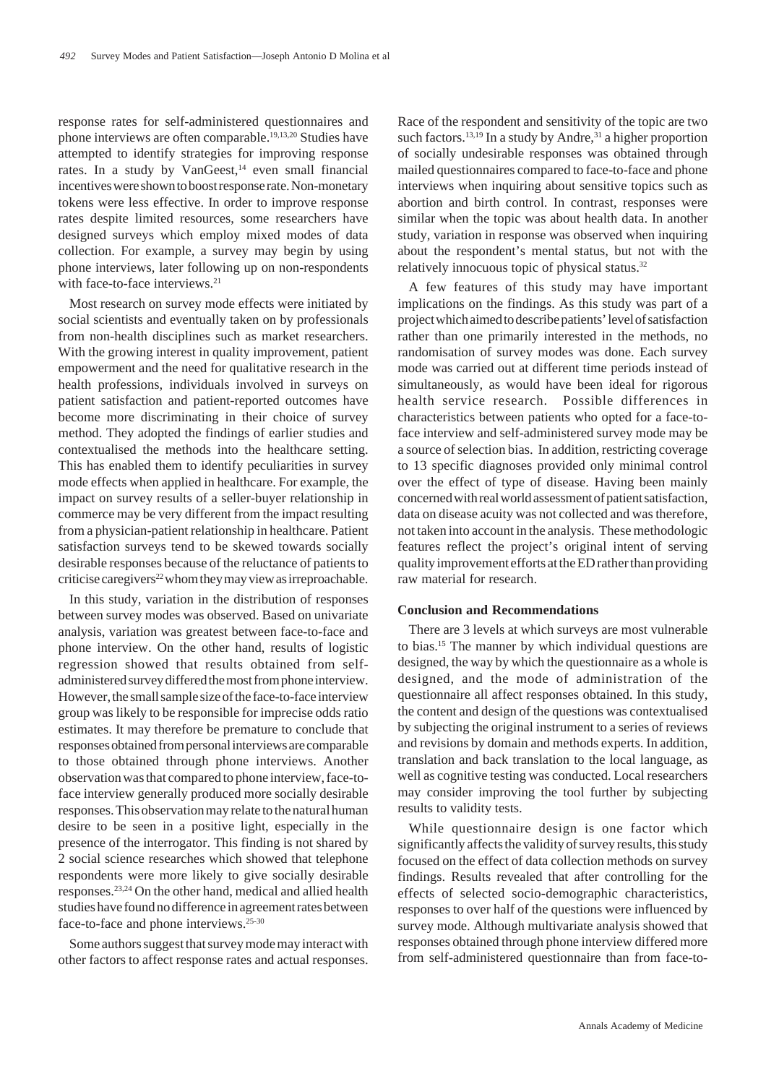response rates for self-administered questionnaires and phone interviews are often comparable.19,13,20 Studies have attempted to identify strategies for improving response rates. In a study by VanGeest,<sup>14</sup> even small financial incentives were shown to boost response rate. Non-monetary tokens were less effective. In order to improve response rates despite limited resources, some researchers have designed surveys which employ mixed modes of data collection. For example, a survey may begin by using phone interviews, later following up on non-respondents with face-to-face interviews. $21$ 

Most research on survey mode effects were initiated by social scientists and eventually taken on by professionals from non-health disciplines such as market researchers. With the growing interest in quality improvement, patient empowerment and the need for qualitative research in the health professions, individuals involved in surveys on patient satisfaction and patient-reported outcomes have become more discriminating in their choice of survey method. They adopted the findings of earlier studies and contextualised the methods into the healthcare setting. This has enabled them to identify peculiarities in survey mode effects when applied in healthcare. For example, the impact on survey results of a seller-buyer relationship in commerce may be very different from the impact resulting from a physician-patient relationship in healthcare. Patient satisfaction surveys tend to be skewed towards socially desirable responses because of the reluctance of patients to criticise caregivers<sup>22</sup> whom they may view as irreproachable.

In this study, variation in the distribution of responses between survey modes was observed. Based on univariate analysis, variation was greatest between face-to-face and phone interview. On the other hand, results of logistic regression showed that results obtained from selfadministered survey differed the most from phone interview. However, the small sample size of the face-to-face interview group was likely to be responsible for imprecise odds ratio estimates. It may therefore be premature to conclude that responses obtained from personal interviews are comparable to those obtained through phone interviews. Another observation was that compared to phone interview, face-toface interview generally produced more socially desirable responses. This observation may relate to the natural human desire to be seen in a positive light, especially in the presence of the interrogator. This finding is not shared by 2 social science researches which showed that telephone respondents were more likely to give socially desirable responses.23,24 On the other hand, medical and allied health studies have found no difference in agreement rates between face-to-face and phone interviews.25-30

Some authors suggest that survey mode may interact with other factors to affect response rates and actual responses. Race of the respondent and sensitivity of the topic are two such factors.<sup>13,19</sup> In a study by Andre,<sup>31</sup> a higher proportion of socially undesirable responses was obtained through mailed questionnaires compared to face-to-face and phone interviews when inquiring about sensitive topics such as abortion and birth control. In contrast, responses were similar when the topic was about health data. In another study, variation in response was observed when inquiring about the respondent's mental status, but not with the relatively innocuous topic of physical status.<sup>32</sup>

A few features of this study may have important implications on the findings. As this study was part of a project which aimed to describe patients' level of satisfaction rather than one primarily interested in the methods, no randomisation of survey modes was done. Each survey mode was carried out at different time periods instead of simultaneously, as would have been ideal for rigorous health service research. Possible differences in characteristics between patients who opted for a face-toface interview and self-administered survey mode may be a source of selection bias. In addition, restricting coverage to 13 specific diagnoses provided only minimal control over the effect of type of disease. Having been mainly concerned with real world assessment of patient satisfaction, data on disease acuity was not collected and was therefore, not taken into account in the analysis. These methodologic features reflect the project's original intent of serving quality improvement efforts at the ED rather than providing raw material for research.

## **Conclusion and Recommendations**

There are 3 levels at which surveys are most vulnerable to bias.15 The manner by which individual questions are designed, the way by which the questionnaire as a whole is designed, and the mode of administration of the questionnaire all affect responses obtained. In this study, the content and design of the questions was contextualised by subjecting the original instrument to a series of reviews and revisions by domain and methods experts. In addition, translation and back translation to the local language, as well as cognitive testing was conducted. Local researchers may consider improving the tool further by subjecting results to validity tests.

While questionnaire design is one factor which significantly affects the validity of survey results, this study focused on the effect of data collection methods on survey findings. Results revealed that after controlling for the effects of selected socio-demographic characteristics, responses to over half of the questions were influenced by survey mode. Although multivariate analysis showed that responses obtained through phone interview differed more from self-administered questionnaire than from face-to